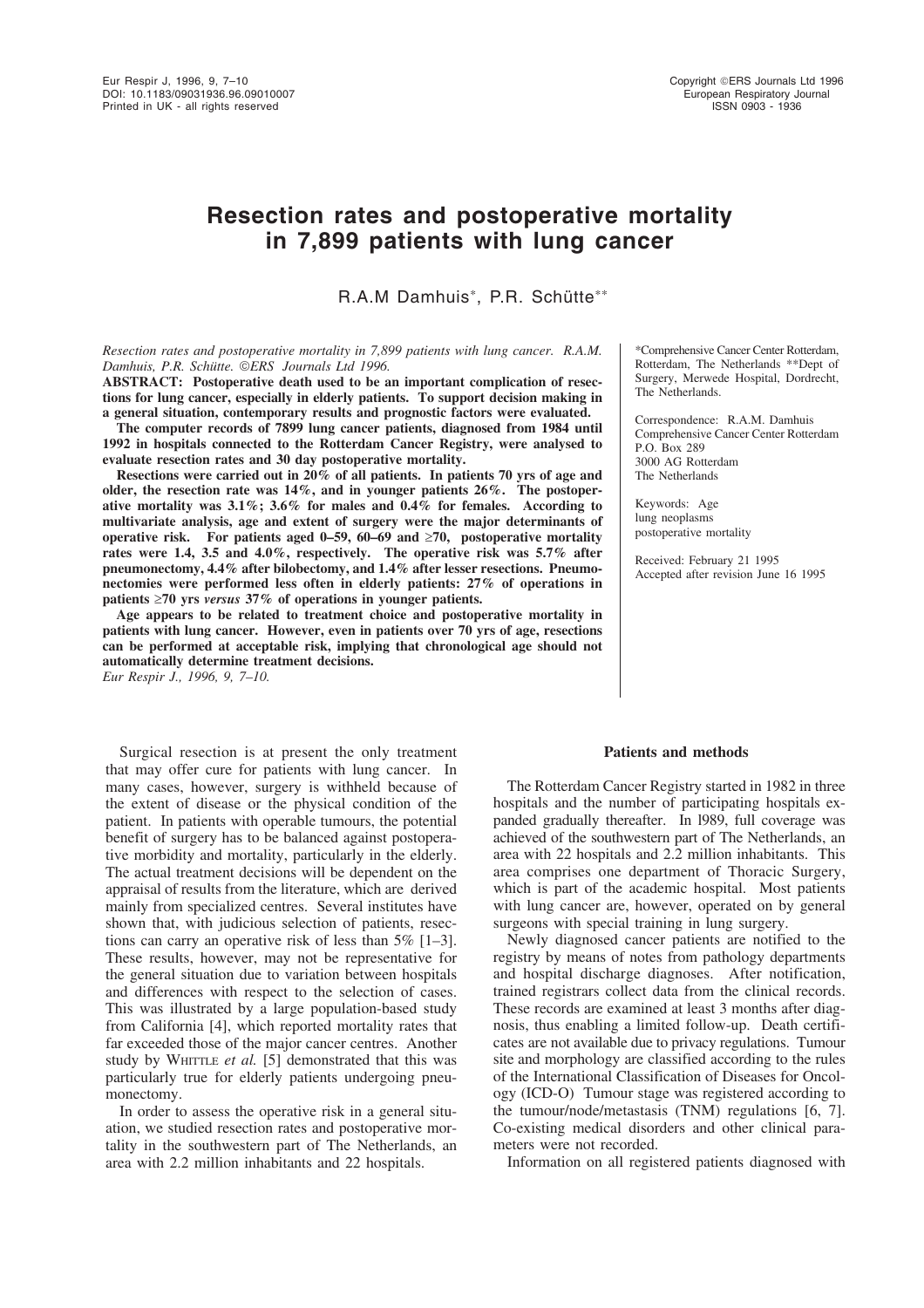# **Resection rates and postoperative mortality in 7,899 patients with lung cancer**

R.A.M Damhuis\*, P.R. Schütte\*\*

*Resection rates and postoperative mortality in 7,899 patients with lung cancer. R.A.M. Damhuis, P.R. Schütte. ERS Journals Ltd 1996.* 

**ABSTRACT: Postoperative death used to be an important complication of resections for lung cancer, especially in elderly patients. To support decision making in a general situation, contemporary results and prognostic factors were evaluated.**

**The computer records of 7899 lung cancer patients, diagnosed from 1984 until 1992 in hospitals connected to the Rotterdam Cancer Registry, were analysed to evaluate resection rates and 30 day postoperative mortality.**

**Resections were carried out in 20% of all patients. In patients 70 yrs of age and older, the resection rate was 14%, and in younger patients 26%. The postoperative mortality was 3.1%; 3.6% for males and 0.4% for females. According to multivariate analysis, age and extent of surgery were the major determinants of operative risk. For patients aged 0–59, 60–69 and** ≥**70, postoperative mortality rates were 1.4, 3.5 and 4.0%, respectively. The operative risk was 5.7% after pneumonectomy, 4.4% after bilobectomy, and 1.4% after lesser resections. Pneumonectomies were performed less often in elderly patients: 27% of operations in patients** ≥**70 yrs** *versus* **37% of operations in younger patients.**

**Age appears to be related to treatment choice and postoperative mortality in patients with lung cancer. However, even in patients over 70 yrs of age, resections can be performed at acceptable risk, implying that chronological age should not automatically determine treatment decisions.** *Eur Respir J., 1996, 9, 7–10.*

Surgical resection is at present the only treatment that may offer cure for patients with lung cancer. In many cases, however, surgery is withheld because of the extent of disease or the physical condition of the patient. In patients with operable tumours, the potential benefit of surgery has to be balanced against postoperative morbidity and mortality, particularly in the elderly. The actual treatment decisions will be dependent on the appraisal of results from the literature, which are derived mainly from specialized centres. Several institutes have shown that, with judicious selection of patients, resections can carry an operative risk of less than 5% [1–3]. These results, however, may not be representative for the general situation due to variation between hospitals and differences with respect to the selection of cases. This was illustrated by a large population-based study from California [4], which reported mortality rates that far exceeded those of the major cancer centres. Another study by WHITTLE *et al.* [5] demonstrated that this was particularly true for elderly patients undergoing pneumonectomy.

In order to assess the operative risk in a general situation, we studied resection rates and postoperative mortality in the southwestern part of The Netherlands, an area with 2.2 million inhabitants and 22 hospitals.

\*Comprehensive Cancer Center Rotterdam, Rotterdam, The Netherlands \*\*Dept of Surgery, Merwede Hospital, Dordrecht, The Netherlands.

Correspondence: R.A.M. Damhuis Comprehensive Cancer Center Rotterdam P.O. Box 289 3000 AG Rotterdam The Netherlands

Keywords: Age lung neoplasms postoperative mortality

Received: February 21 1995 Accepted after revision June 16 1995

#### **Patients and methods**

The Rotterdam Cancer Registry started in 1982 in three hospitals and the number of participating hospitals expanded gradually thereafter. In l989, full coverage was achieved of the southwestern part of The Netherlands, an area with 22 hospitals and 2.2 million inhabitants. This area comprises one department of Thoracic Surgery, which is part of the academic hospital. Most patients with lung cancer are, however, operated on by general surgeons with special training in lung surgery.

Newly diagnosed cancer patients are notified to the registry by means of notes from pathology departments and hospital discharge diagnoses. After notification, trained registrars collect data from the clinical records. These records are examined at least 3 months after diagnosis, thus enabling a limited follow-up. Death certificates are not available due to privacy regulations. Tumour site and morphology are classified according to the rules of the International Classification of Diseases for Oncology (ICD-O) Tumour stage was registered according to the tumour/node/metastasis (TNM) regulations [6, 7]. Co-existing medical disorders and other clinical parameters were not recorded.

Information on all registered patients diagnosed with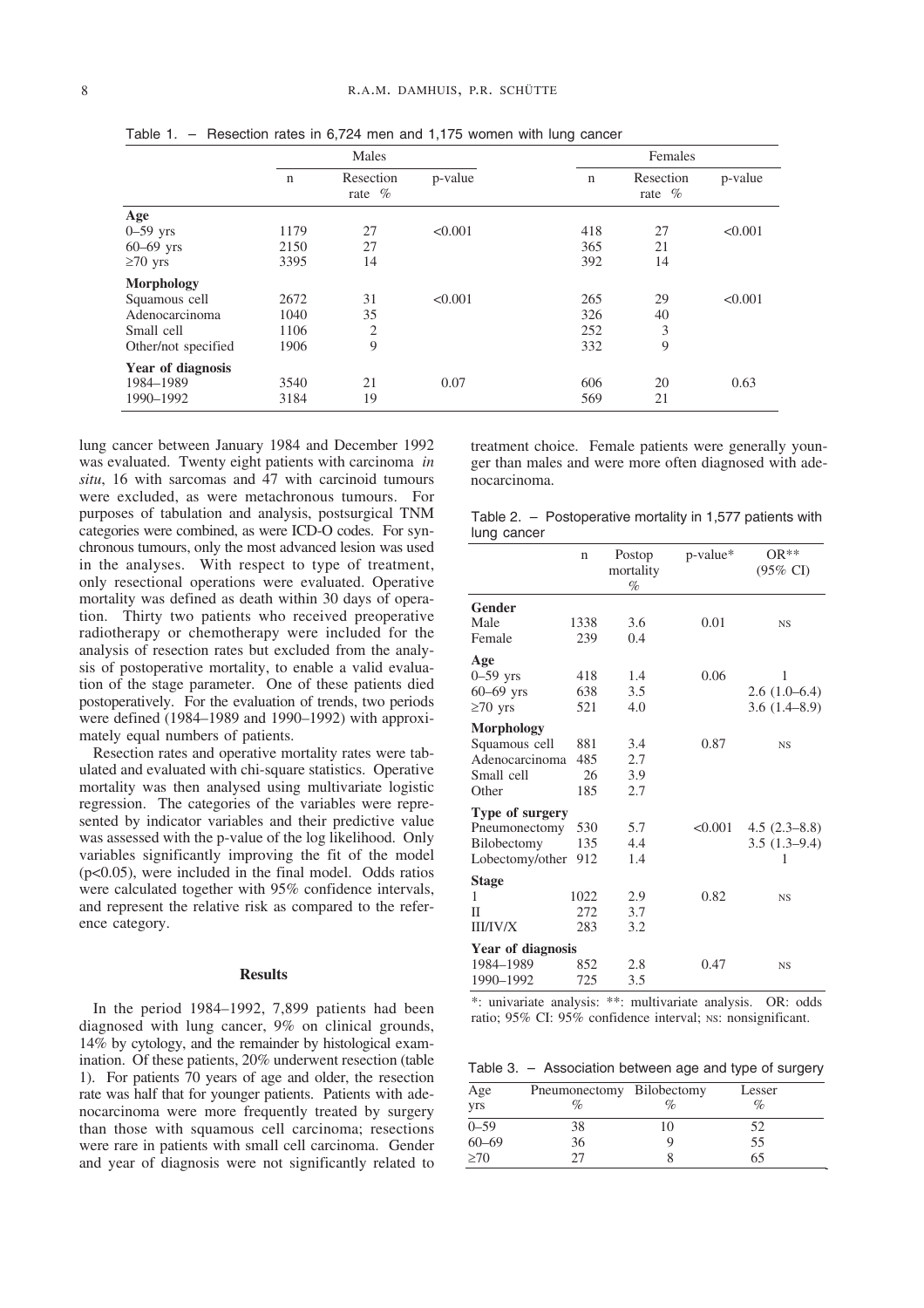|                     | Males       |                        |         | Females     |                        |         |  |  |
|---------------------|-------------|------------------------|---------|-------------|------------------------|---------|--|--|
|                     | $\mathbf n$ | Resection<br>rate $\%$ | p-value | $\mathbf n$ | Resection<br>rate $\%$ | p-value |  |  |
| Age                 |             |                        |         |             |                        |         |  |  |
| $0-59$ yrs          | 1179        | 27                     | < 0.001 | 418         | 27                     | < 0.001 |  |  |
| $60 - 69$ yrs       | 2150        | 27                     |         | 365         | 21                     |         |  |  |
| $\geq 70$ yrs       | 3395        | 14                     |         | 392         | 14                     |         |  |  |
| Morphology          |             |                        |         |             |                        |         |  |  |
| Squamous cell       | 2672        | 31                     | < 0.001 | 265         | 29                     | < 0.001 |  |  |
| Adenocarcinoma      | 1040        | 35                     |         | 326         | 40                     |         |  |  |
| Small cell          | 1106        | $\overline{2}$         |         | 252         | 3                      |         |  |  |
| Other/not specified | 1906        | 9                      |         | 332         | 9                      |         |  |  |
| Year of diagnosis   |             |                        |         |             |                        |         |  |  |
| 1984-1989           | 3540        | 21                     | 0.07    | 606         | 20                     | 0.63    |  |  |
| 1990-1992           | 3184        | 19                     |         | 569         | 21                     |         |  |  |

Table 1. – Resection rates in 6,724 men and 1,175 women with lung cancer

lung cancer between January 1984 and December 1992 was evaluated. Twenty eight patients with carcinoma *in situ*, 16 with sarcomas and 47 with carcinoid tumours were excluded, as were metachronous tumours. For purposes of tabulation and analysis, postsurgical TNM categories were combined, as were ICD-O codes. For synchronous tumours, only the most advanced lesion was used in the analyses. With respect to type of treatment, only resectional operations were evaluated. Operative mortality was defined as death within 30 days of operation. Thirty two patients who received preoperative radiotherapy or chemotherapy were included for the analysis of resection rates but excluded from the analysis of postoperative mortality, to enable a valid evaluation of the stage parameter. One of these patients died postoperatively. For the evaluation of trends, two periods were defined (1984–1989 and 1990–1992) with approximately equal numbers of patients.

Resection rates and operative mortality rates were tabulated and evaluated with chi-square statistics. Operative mortality was then analysed using multivariate logistic regression. The categories of the variables were represented by indicator variables and their predictive value was assessed with the p-value of the log likelihood. Only variables significantly improving the fit of the model (p<0.05), were included in the final model. Odds ratios were calculated together with 95% confidence intervals, and represent the relative risk as compared to the reference category.

#### **Results**

In the period 1984–1992, 7,899 patients had been diagnosed with lung cancer, 9% on clinical grounds, 14% by cytology, and the remainder by histological examination. Of these patients, 20% underwent resection (table 1). For patients 70 years of age and older, the resection rate was half that for younger patients. Patients with adenocarcinoma were more frequently treated by surgery than those with squamous cell carcinoma; resections were rare in patients with small cell carcinoma. Gender and year of diagnosis were not significantly related to

treatment choice. Female patients were generally younger than males and were more often diagnosed with adenocarcinoma.

Table 2. – Postoperative mortality in 1,577 patients with lung cancer

|                   | $\mathbf n$ | Postop<br>mortality<br>$\%$ | p-value* | OR**<br>$(95\% \text{ CI})$ |
|-------------------|-------------|-----------------------------|----------|-----------------------------|
| Gender            |             |                             |          |                             |
| Male              | 1338        | 3.6                         | 0.01     | <b>NS</b>                   |
| Female            | 239         | 0.4                         |          |                             |
| Age               |             |                             |          |                             |
| $0-59$ yrs        | 418         | 1.4                         | 0.06     | 1                           |
| $60 - 69$ yrs     | 638         | 3.5                         |          | $2.6(1.0-6.4)$              |
| $\geq 70$ yrs     | 521         | 4.0                         |          | 3.6(1.4–8.9)                |
| <b>Morphology</b> |             |                             |          |                             |
| Squamous cell     | 881         | 3.4                         | 0.87     | <b>NS</b>                   |
| Adenocarcinoma    | 485         | 2.7                         |          |                             |
| Small cell        | 26          | 3.9                         |          |                             |
| Other             | 185         | 2.7                         |          |                             |
| Type of surgery   |             |                             |          |                             |
| Pneumonectomy     | 530         | 5.7                         | < 0.001  | $4.5(2.3-8.8)$              |
| Bilobectomy       | 135         | 4.4                         |          | $3.5(1.3-9.4)$              |
| Lobectomy/other   | 912         | 1.4                         |          | 1                           |
| <b>Stage</b>      |             |                             |          |                             |
| 1                 | 1022        | 2.9                         | 0.82     | <b>NS</b>                   |
| Н                 | 272         | 3.7                         |          |                             |
| <b>III/IV/X</b>   | 283         | 3.2                         |          |                             |
| Year of diagnosis |             |                             |          |                             |
| 1984-1989         | 852         | 2.8                         | 0.47     | <b>NS</b>                   |
| 1990-1992         | 725         | 3.5                         |          |                             |

\*: univariate analysis: \*\*: multivariate analysis. OR: odds ratio; 95% CI: 95% confidence interval; NS: nonsignificant.

Table 3. – Association between age and type of surgery

| Age               | Pneumonectomy Bilobectomy |      | Lesser |
|-------------------|---------------------------|------|--------|
| yrs               | $\%$                      | $\%$ | %      |
|                   | 38                        | 10   | 52     |
| $0 - 59$<br>60-69 | 36                        |      | 55     |
| >70               |                           |      | 65     |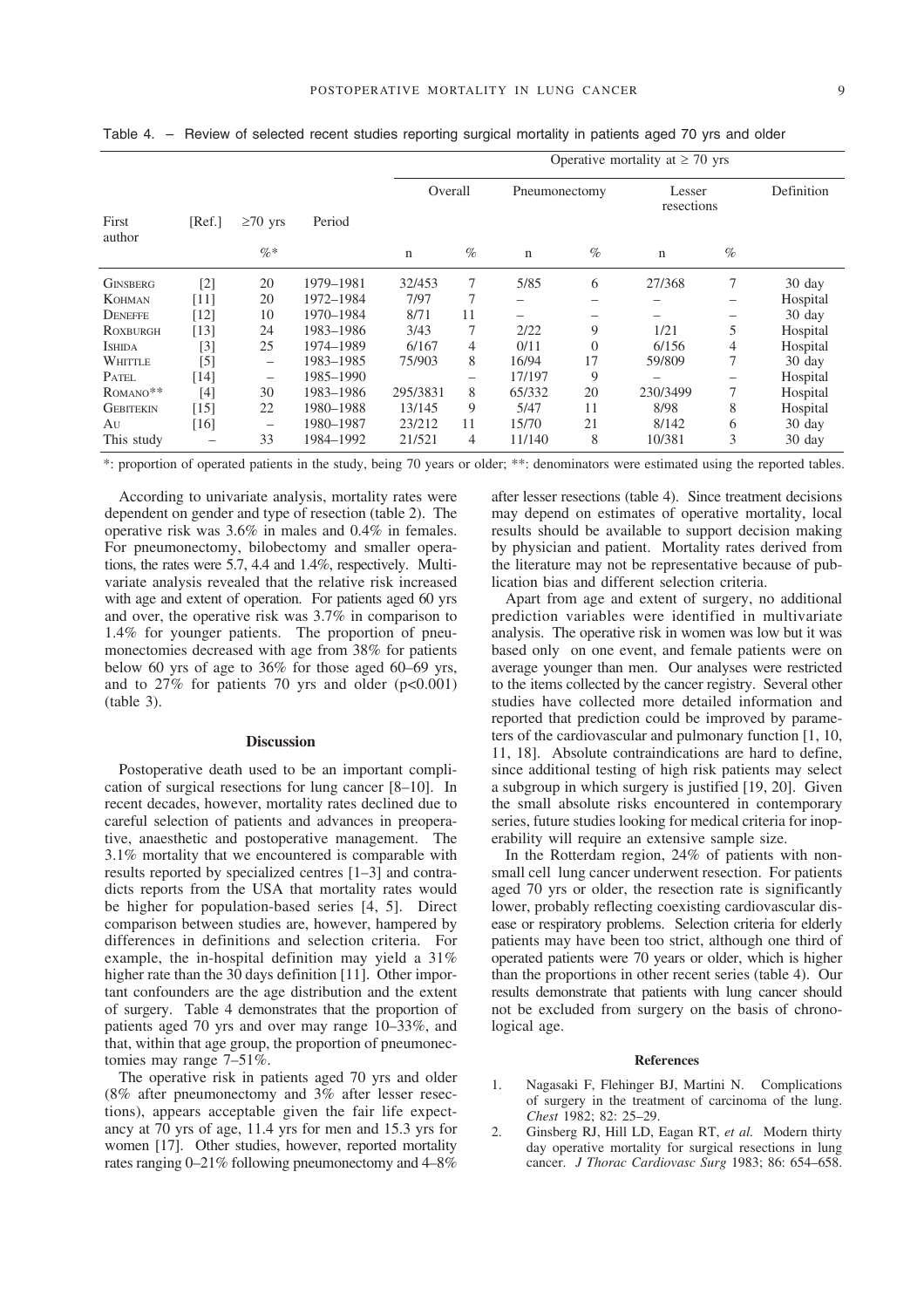|                  |                         |                                |           |          | Operative mortality at $\geq 70$ yrs |               |          |                      |      |                  |  |
|------------------|-------------------------|--------------------------------|-----------|----------|--------------------------------------|---------------|----------|----------------------|------|------------------|--|
| First            | $\geq 70$ yrs<br>[Ref.] |                                | Period    | Overall  |                                      | Pneumonectomy |          | Lesser<br>resections |      | Definition       |  |
| author           |                         | $\%$ *                         |           | n        | $\%$                                 | $\mathbf n$   | $\%$     | $\mathbf n$          | $\%$ |                  |  |
| <b>GINSBERG</b>  | $[2]$                   | 20                             | 1979-1981 | 32/453   | 7                                    | 5/85          | 6        | 27/368               | 7    | $30 \text{ day}$ |  |
| KOHMAN           | [11]                    | 20                             | 1972-1984 | 7/97     |                                      |               |          |                      | -    | Hospital         |  |
| DENEFFE          | [12]                    | 10                             | 1970-1984 | 8/71     | 11                                   |               |          |                      |      | 30 day           |  |
| ROXBURGH         | [13]                    | 24                             | 1983-1986 | 3/43     | 7                                    | 2/22          | 9        | 1/21                 | 5    | Hospital         |  |
| <b>ISHIDA</b>    | $^{[3]}$                | 25                             | 1974-1989 | 6/167    | 4                                    | 0/11          | $\Omega$ | 6/156                | 4    | Hospital         |  |
| WHITTLE          | [5]                     | $\qquad \qquad \longleftarrow$ | 1983-1985 | 75/903   | 8                                    | 16/94         | 17       | 59/809               | 7    | $30 \text{ day}$ |  |
| PATEL            | [14]                    | $\qquad \qquad$                | 1985–1990 |          | —                                    | 17/197        | 9        |                      |      | Hospital         |  |
| ROMANO**         | [4]                     | 30                             | 1983-1986 | 295/3831 | 8                                    | 65/332        | 20       | 230/3499             | 7    | Hospital         |  |
| <b>GEBITEKIN</b> | $[15]$                  | 22                             | 1980–1988 | 13/145   | 9                                    | 5/47          | 11       | 8/98                 | 8    | Hospital         |  |
| Au               | [16]                    | $\qquad \qquad \longleftarrow$ | 1980-1987 | 23/212   | 11                                   | 15/70         | 21       | 8/142                | 6    | 30 day           |  |
| This study       |                         | 33                             | 1984-1992 | 21/521   | 4                                    | 11/140        | 8        | 10/381               | 3    | 30 day           |  |

Table 4. – Review of selected recent studies reporting surgical mortality in patients aged 70 yrs and older

\*: proportion of operated patients in the study, being 70 years or older; \*\*: denominators were estimated using the reported tables.

According to univariate analysis, mortality rates were dependent on gender and type of resection (table 2). The operative risk was 3.6% in males and 0.4% in females. For pneumonectomy, bilobectomy and smaller operations, the rates were 5.7, 4.4 and 1.4%, respectively. Multivariate analysis revealed that the relative risk increased with age and extent of operation. For patients aged 60 yrs and over, the operative risk was 3.7% in comparison to 1.4% for younger patients. The proportion of pneumonectomies decreased with age from 38% for patients below 60 yrs of age to 36% for those aged 60–69 yrs, and to  $27\%$  for patients 70 yrs and older ( $p<0.001$ ) (table 3).

## **Discussion**

Postoperative death used to be an important complication of surgical resections for lung cancer [8–10]. In recent decades, however, mortality rates declined due to careful selection of patients and advances in preoperative, anaesthetic and postoperative management. The 3.1% mortality that we encountered is comparable with results reported by specialized centres [1–3] and contradicts reports from the USA that mortality rates would be higher for population-based series [4, 5]. Direct comparison between studies are, however, hampered by differences in definitions and selection criteria. For example, the in-hospital definition may yield a 31% higher rate than the 30 days definition [11]. Other important confounders are the age distribution and the extent of surgery. Table 4 demonstrates that the proportion of patients aged 70 yrs and over may range 10–33%, and that, within that age group, the proportion of pneumonectomies may range 7–51%.

The operative risk in patients aged 70 yrs and older (8% after pneumonectomy and 3% after lesser resections), appears acceptable given the fair life expectancy at 70 yrs of age, 11.4 yrs for men and 15.3 yrs for women [17]. Other studies, however, reported mortality rates ranging 0–21% following pneumonectomy and 4–8%

after lesser resections (table 4). Since treatment decisions may depend on estimates of operative mortality, local results should be available to support decision making by physician and patient. Mortality rates derived from the literature may not be representative because of publication bias and different selection criteria.

Apart from age and extent of surgery, no additional prediction variables were identified in multivariate analysis. The operative risk in women was low but it was based only on one event, and female patients were on average younger than men. Our analyses were restricted to the items collected by the cancer registry. Several other studies have collected more detailed information and reported that prediction could be improved by parameters of the cardiovascular and pulmonary function [1, 10, 11, 18]. Absolute contraindications are hard to define, since additional testing of high risk patients may select a subgroup in which surgery is justified [19, 20]. Given the small absolute risks encountered in contemporary series, future studies looking for medical criteria for inoperability will require an extensive sample size.

In the Rotterdam region, 24% of patients with nonsmall cell lung cancer underwent resection. For patients aged 70 yrs or older, the resection rate is significantly lower, probably reflecting coexisting cardiovascular disease or respiratory problems. Selection criteria for elderly patients may have been too strict, although one third of operated patients were 70 years or older, which is higher than the proportions in other recent series (table 4). Our results demonstrate that patients with lung cancer should not be excluded from surgery on the basis of chronological age.

### **References**

- 1. Nagasaki F, Flehinger BJ, Martini N. Complications of surgery in the treatment of carcinoma of the lung. *Chest* 1982; 82: 25–29.
- 2. Ginsberg RJ, Hill LD, Eagan RT, *et al.* Modern thirty day operative mortality for surgical resections in lung cancer. *J Thorac Cardiovasc Surg* 1983; 86: 654–658.